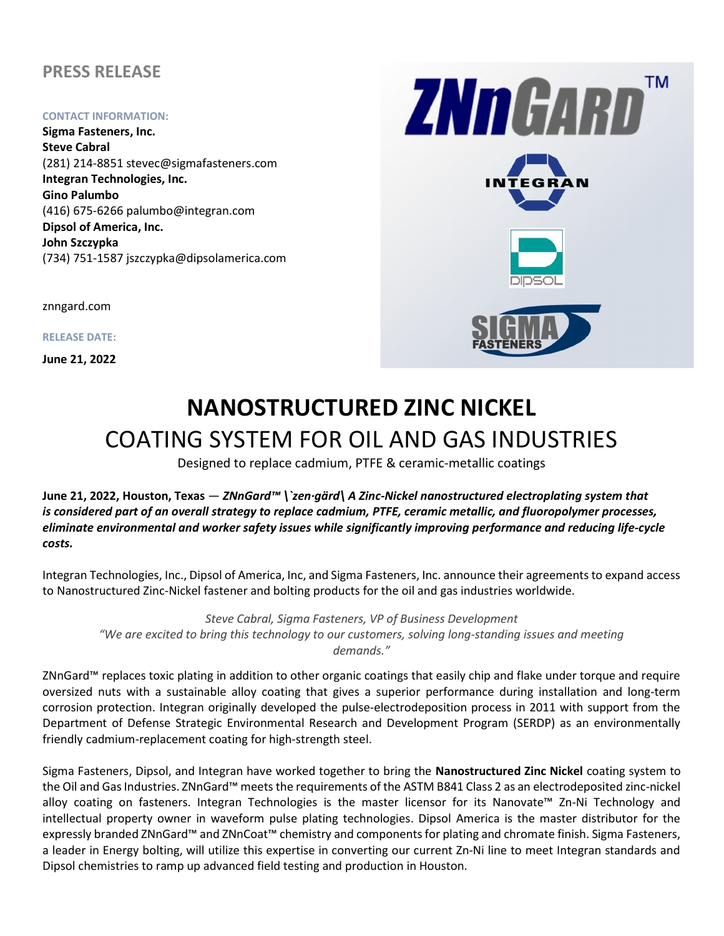## PRESS RELEASE

#### CONTACT INFORMATION:

Sigma Fasteners, Inc. Steve Cabral (281) 214-8851 stevec@sigmafasteners.com Integran Technologies, Inc. Gino Palumbo (416) 675-6266 palumbo@integran.com Dipsol of America, Inc. John Szczypka (734) 751-1587 jszczypka@dipsolamerica.com

znngard.com

RELEASE DATE:

June 21, 2022



# NANOSTRUCTURED ZINC NICKEL COATING SYSTEM FOR OIL AND GAS INDUSTRIES EL DISTRICT DE L'ON

Designed to replace cadmium, PTFE & ceramic-metallic coatings

June 21, 2022, Houston, Texas — ZNnGard™ \`zen·gärd\ A Zinc-Nickel nanostructured electroplating system that is considered part of an overall strategy to replace cadmium, PTFE, ceramic metallic, and fluoropolymer processes, eliminate environmental and worker safety issues while significantly improving performance and reducing life-cycle costs.

Integran Technologies, Inc., Dipsol of America, Inc, and Sigma Fasteners, Inc. announce their agreements to expand access to Nanostructured Zinc-Nickel fastener and bolting products for the oil and gas industries worldwide.

Steve Cabral, Sigma Fasteners, VP of Business Development "We are excited to bring this technology to our customers, solving long-standing issues and meeting demands."

ZNnGard™ replaces toxic plating in addition to other organic coatings that easily chip and flake under torque and require oversized nuts with a sustainable alloy coating that gives a superior performance during installation and long-term corrosion protection. Integran originally developed the pulse-electrodeposition process in 2011 with support from the Department of Defense Strategic Environmental Research and Development Program (SERDP) as an environmentally friendly cadmium-replacement coating for high-strength steel.

Sigma Fasteners, Dipsol, and Integran have worked together to bring the Nanostructured Zinc Nickel coating system to the Oil and Gas Industries. ZNnGard™ meets the requirements of the ASTM B841 Class 2 as an electrodeposited zinc-nickel alloy coating on fasteners. Integran Technologies is the master licensor for its Nanovate™ Zn-Ni Technology and intellectual property owner in waveform pulse plating technologies. Dipsol America is the master distributor for the expressly branded ZNnGard™ and ZNnCoat™ chemistry and components for plating and chromate finish. Sigma Fasteners, a leader in Energy bolting, will utilize this expertise in converting our current Zn-Ni line to meet Integran standards and Dipsol chemistries to ramp up advanced field testing and production in Houston.